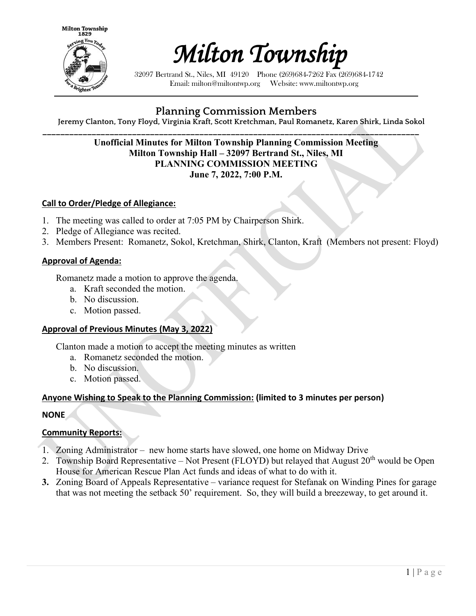



32097 Bertrand St., Niles, MI 49120 Phone (269)684-7262 Fax (269)684-1742 Email: milton@miltontwp.org Website: www.miltontwp.org

# **Planning Commission Members**

**Jeremy Clanton, Tony Floyd, Virginia Kraft, Scott Kretchman, Paul Romanetz, Karen Shirk, Linda Sokol**

#### **\_\_\_\_\_\_\_\_\_\_\_\_\_\_\_\_\_\_\_\_\_\_\_\_\_\_\_\_\_\_\_\_\_\_\_\_\_\_\_\_\_\_\_\_\_\_\_\_\_\_\_\_\_\_\_\_\_\_\_\_\_\_\_\_\_\_\_\_\_\_\_\_\_\_\_\_\_\_\_\_\_\_\_\_ Unofficial Minutes for Milton Township Planning Commission Meeting Milton Township Hall – 32097 Bertrand St., Niles, MI PLANNING COMMISSION MEETING June 7, 2022, 7:00 P.M.**

## **Call to Order/Pledge of Allegiance:**

- 1. The meeting was called to order at 7:05 PM by Chairperson Shirk.
- 2. Pledge of Allegiance was recited.
- 3. Members Present: Romanetz, Sokol, Kretchman, Shirk, Clanton, Kraft (Members not present: Floyd)

#### **Approval of Agenda:**

Romanetz made a motion to approve the agenda.

- a. Kraft seconded the motion.
- b. No discussion.
- c. Motion passed.

#### **Approval of Previous Minutes (May 3, 2022)**

Clanton made a motion to accept the meeting minutes as written

- a. Romanetz seconded the motion.
- b. No discussion.
- c. Motion passed.

## **Anyone Wishing to Speak to the Planning Commission: (limited to 3 minutes per person)**

#### **NONE**

#### **Community Reports:**

- 1. Zoning Administrator new home starts have slowed, one home on Midway Drive
- 2. Township Board Representative Not Present (FLOYD) but relayed that August  $20<sup>th</sup>$  would be Open House for American Rescue Plan Act funds and ideas of what to do with it.
- **3.** Zoning Board of Appeals Representative variance request for Stefanak on Winding Pines for garage that was not meeting the setback 50' requirement. So, they will build a breezeway, to get around it.